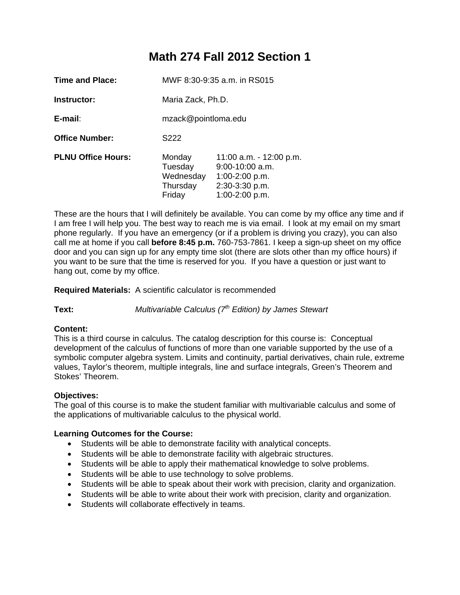# **Math 274 Fall 2012 Section 1**

| Time and Place:           | MWF 8:30-9:35 a.m. in RS015                          |                                                                                                        |  |  |
|---------------------------|------------------------------------------------------|--------------------------------------------------------------------------------------------------------|--|--|
| Instructor:               | Maria Zack, Ph.D.                                    |                                                                                                        |  |  |
| $E$ -mail:                | mzack@pointloma.edu                                  |                                                                                                        |  |  |
| <b>Office Number:</b>     | S <sub>222</sub>                                     |                                                                                                        |  |  |
| <b>PLNU Office Hours:</b> | Monday<br>Tuesday<br>Wednesday<br>Thursday<br>Friday | 11:00 a.m. - 12:00 p.m.<br>$9:00-10:00$ a.m.<br>$1:00-2:00 p.m.$<br>2:30-3:30 p.m.<br>$1:00-2:00 p.m.$ |  |  |

These are the hours that I will definitely be available. You can come by my office any time and if I am free I will help you. The best way to reach me is via email. I look at my email on my smart phone regularly. If you have an emergency (or if a problem is driving you crazy), you can also call me at home if you call **before 8:45 p.m.** 760-753-7861. I keep a sign-up sheet on my office door and you can sign up for any empty time slot (there are slots other than my office hours) if you want to be sure that the time is reserved for you. If you have a question or just want to hang out, come by my office.

**Required Materials:** A scientific calculator is recommended

**Text:** *Multivariable Calculus (7th Edition) by James Stewart* 

# **Content:**

This is a third course in calculus. The catalog description for this course is: Conceptual development of the calculus of functions of more than one variable supported by the use of a symbolic computer algebra system. Limits and continuity, partial derivatives, chain rule, extreme values, Taylor's theorem, multiple integrals, line and surface integrals, Green's Theorem and Stokes' Theorem.

# **Objectives:**

The goal of this course is to make the student familiar with multivariable calculus and some of the applications of multivariable calculus to the physical world.

#### **Learning Outcomes for the Course:**

- Students will be able to demonstrate facility with analytical concepts.
- Students will be able to demonstrate facility with algebraic structures.
- Students will be able to apply their mathematical knowledge to solve problems.
- Students will be able to use technology to solve problems.
- Students will be able to speak about their work with precision, clarity and organization.
- Students will be able to write about their work with precision, clarity and organization.
- Students will collaborate effectively in teams.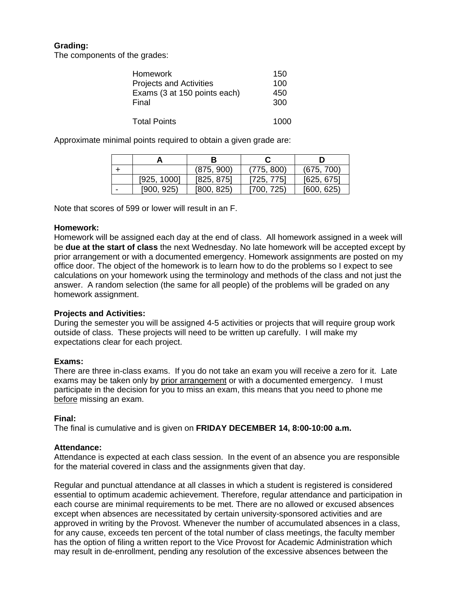# **Grading:**

The components of the grades:

| <b>Homework</b>                | 150  |
|--------------------------------|------|
| <b>Projects and Activities</b> | 100  |
| Exams (3 at 150 points each)   | 450  |
| Final                          | 300  |
|                                |      |
| <b>Total Points</b>            | 1000 |

Approximate minimal points required to obtain a given grade are:

|   |             |            |            | D          |  |
|---|-------------|------------|------------|------------|--|
|   |             | (875, 900) | (775, 800) | (675, 700) |  |
|   | [925, 1000] | [825, 875] | [725, 775] | [625, 675] |  |
| - | [900, 925)  | [800, 825] | [700, 725] | [600, 625] |  |

Note that scores of 599 or lower will result in an F.

## **Homework:**

Homework will be assigned each day at the end of class. All homework assigned in a week will be **due at the start of class** the next Wednesday. No late homework will be accepted except by prior arrangement or with a documented emergency. Homework assignments are posted on my office door. The object of the homework is to learn how to do the problems so I expect to see calculations on your homework using the terminology and methods of the class and not just the answer. A random selection (the same for all people) of the problems will be graded on any homework assignment.

# **Projects and Activities:**

During the semester you will be assigned 4-5 activities or projects that will require group work outside of class. These projects will need to be written up carefully. I will make my expectations clear for each project.

# **Exams:**

There are three in-class exams. If you do not take an exam you will receive a zero for it. Late exams may be taken only by prior arrangement or with a documented emergency. I must participate in the decision for you to miss an exam, this means that you need to phone me before missing an exam.

#### **Final:**

The final is cumulative and is given on **FRIDAY DECEMBER 14, 8:00-10:00 a.m.**

#### **Attendance:**

Attendance is expected at each class session. In the event of an absence you are responsible for the material covered in class and the assignments given that day.

Regular and punctual attendance at all classes in which a student is registered is considered essential to optimum academic achievement. Therefore, regular attendance and participation in each course are minimal requirements to be met. There are no allowed or excused absences except when absences are necessitated by certain university-sponsored activities and are approved in writing by the Provost. Whenever the number of accumulated absences in a class, for any cause, exceeds ten percent of the total number of class meetings, the faculty member has the option of filing a written report to the Vice Provost for Academic Administration which may result in de-enrollment, pending any resolution of the excessive absences between the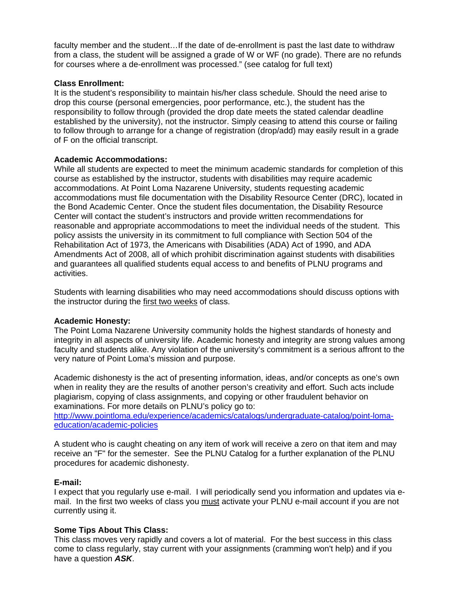faculty member and the student…If the date of de-enrollment is past the last date to withdraw from a class, the student will be assigned a grade of W or WF (no grade). There are no refunds for courses where a de-enrollment was processed." (see catalog for full text)

## **Class Enrollment:**

It is the student's responsibility to maintain his/her class schedule. Should the need arise to drop this course (personal emergencies, poor performance, etc.), the student has the responsibility to follow through (provided the drop date meets the stated calendar deadline established by the university), not the instructor. Simply ceasing to attend this course or failing to follow through to arrange for a change of registration (drop/add) may easily result in a grade of F on the official transcript.

## **Academic Accommodations:**

While all students are expected to meet the minimum academic standards for completion of this course as established by the instructor, students with disabilities may require academic accommodations. At Point Loma Nazarene University, students requesting academic accommodations must file documentation with the Disability Resource Center (DRC), located in the Bond Academic Center. Once the student files documentation, the Disability Resource Center will contact the student's instructors and provide written recommendations for reasonable and appropriate accommodations to meet the individual needs of the student. This policy assists the university in its commitment to full compliance with Section 504 of the Rehabilitation Act of 1973, the Americans with Disabilities (ADA) Act of 1990, and ADA Amendments Act of 2008, all of which prohibit discrimination against students with disabilities and guarantees all qualified students equal access to and benefits of PLNU programs and activities.

Students with learning disabilities who may need accommodations should discuss options with the instructor during the first two weeks of class.

#### **Academic Honesty:**

The Point Loma Nazarene University community holds the highest standards of honesty and integrity in all aspects of university life. Academic honesty and integrity are strong values among faculty and students alike. Any violation of the university's commitment is a serious affront to the very nature of Point Loma's mission and purpose.

Academic dishonesty is the act of presenting information, ideas, and/or concepts as one's own when in reality they are the results of another person's creativity and effort. Such acts include plagiarism, copying of class assignments, and copying or other fraudulent behavior on examinations. For more details on PLNU's policy go to:

http://www.pointloma.edu/experience/academics/catalogs/undergraduate-catalog/point-lomaeducation/academic-policies

A student who is caught cheating on any item of work will receive a zero on that item and may receive an "F" for the semester. See the PLNU Catalog for a further explanation of the PLNU procedures for academic dishonesty.

#### **E-mail:**

I expect that you regularly use e-mail. I will periodically send you information and updates via email. In the first two weeks of class you must activate your PLNU e-mail account if you are not currently using it.

#### **Some Tips About This Class:**

This class moves very rapidly and covers a lot of material. For the best success in this class come to class regularly, stay current with your assignments (cramming won't help) and if you have a question *ASK*.